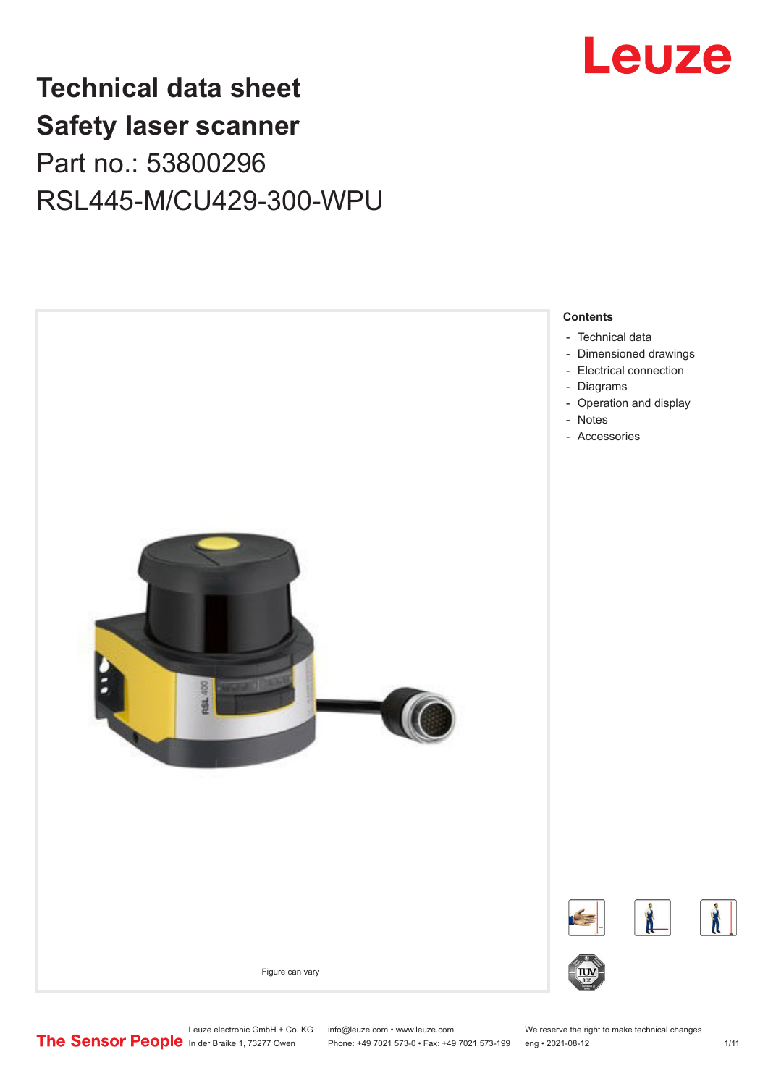

## **Technical data sheet Safety laser scanner** Part no.: 53800296 RSL445-M/CU429-300-WPU



Leuze electronic GmbH + Co. KG info@leuze.com • www.leuze.com We reserve the right to make technical changes<br>
The Sensor People in der Braike 1, 73277 Owen Phone: +49 7021 573-0 • Fax: +49 7021 573-199 eng • 2021-08-12

Phone: +49 7021 573-0 • Fax: +49 7021 573-199 eng • 2021-08-12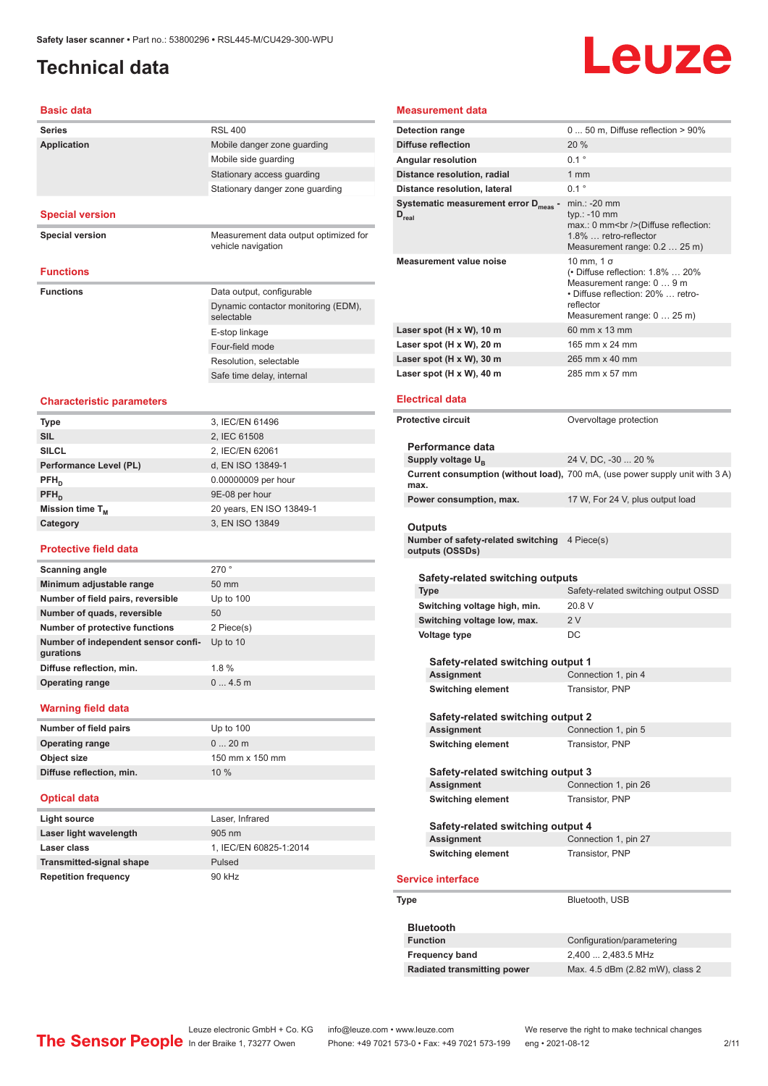## <span id="page-1-0"></span>**Technical data**

# Leuze

#### **Basic data**

| Dasiy yata                                       |                                                             |
|--------------------------------------------------|-------------------------------------------------------------|
| <b>Series</b>                                    | <b>RSL 400</b>                                              |
| <b>Application</b>                               | Mobile danger zone guarding                                 |
|                                                  | Mobile side guarding                                        |
|                                                  | Stationary access guarding                                  |
|                                                  | Stationary danger zone guarding                             |
|                                                  |                                                             |
| <b>Special version</b>                           |                                                             |
| <b>Special version</b>                           | Measurement data output optimized for<br>vehicle navigation |
| <b>Functions</b>                                 |                                                             |
| <b>Functions</b>                                 | Data output, configurable                                   |
|                                                  | Dynamic contactor monitoring (EDM),<br>selectable           |
|                                                  | E-stop linkage                                              |
|                                                  | Four-field mode                                             |
|                                                  | Resolution, selectable                                      |
|                                                  | Safe time delay, internal                                   |
| <b>Characteristic parameters</b>                 |                                                             |
|                                                  | 3, IEC/EN 61496                                             |
| <b>Type</b><br><b>SIL</b>                        | 2, IEC 61508                                                |
| <b>SILCL</b>                                     | 2, IEC/EN 62061                                             |
| Performance Level (PL)                           | d, EN ISO 13849-1                                           |
| $PFH_{D}$                                        | 0.00000009 per hour                                         |
| PFH <sub>D</sub>                                 | 9E-08 per hour                                              |
|                                                  |                                                             |
| Mission time T <sub>M</sub>                      | 20 years, EN ISO 13849-1<br>3, EN ISO 13849                 |
| Category                                         |                                                             |
| <b>Protective field data</b>                     |                                                             |
| <b>Scanning angle</b>                            | 270°                                                        |
| Minimum adjustable range                         | 50 mm                                                       |
| Number of field pairs, reversible                | Up to $100$                                                 |
| Number of quads, reversible                      | 50                                                          |
| <b>Number of protective functions</b>            | 2 Piece(s)                                                  |
| Number of independent sensor confi-<br>gurations | Up to 10                                                    |
| Diffuse reflection, min.                         | 1.8%                                                        |
| <b>Operating range</b>                           | 04.5m                                                       |
| <b>Warning field data</b>                        |                                                             |
| Number of field pairs                            | Up to 100                                                   |
| <b>Operating range</b>                           | $020$ m                                                     |
| <b>Object size</b>                               | 150 mm x 150 mm                                             |
| Diffuse reflection, min.                         | 10 %                                                        |
| <b>Optical data</b>                              |                                                             |
| <b>Light source</b>                              | Laser, Infrared                                             |
| Laser light wavelength                           | 905 nm                                                      |
| Laser class                                      | 1, IEC/EN 60825-1:2014                                      |
| <b>Transmitted-signal shape</b>                  | Pulsed                                                      |
| <b>Repetition frequency</b>                      | 90 kHz                                                      |
|                                                  |                                                             |

#### **Measurement data on range** 0 ... 50 m, Diffuse reflection > 90% **Preflection** 20 % **Angle 2015 Angle 2018 Contract 2019 Contract 2019 Contract 2019 Contract 2019 Contract 2019 Contract 2019 Contract 2019 Contract 2019 Contract 2019 Contract 2019 Contract 2019 Contract 2019 Con Distance resolution, radial** 1 mm **Distance resolution, lateral 1997 D Systematic measurement error Dmeas**  min.: -20 mm typ.: -10 mm max.: 0 mm<br />(Diffuse reflection: 1.8% … retro-reflector Measurement range: 0.2 … 25 m) **Measurement value noise** 10 mm, 1 σ (• Diffuse reflection: 1.8% … 20% Measurement range: 0 … 9 m • Diffuse reflection: 20% … retroreflector Measurement range: 0 … 25 m) **Last (H x W), 10 m** 60 mm x 13 mm **Laspot (H x W), 20 m** 165 mm x 24 mm **Laser spot (H x W), 30 m** 265 mm x 40 mm **Laser spot (H x W), 40 m** 285 mm x 57 mm **Electrical data Protective circuit** Covervoltage protection **Performance data** ply voltage U<sub>B</sub> 24 V, DC, -30 ... 20 % **Current consumption (without load),**  700 mA, (use power supply unit with 3 A) **Power consumption, max.** 17 W, For 24 V, plus output load **Outputs Number of safety-related switching** 4 Piece(s) **outputs (OSSDs) Safetyrelated switching outputs Type** Safety-related switching output OSSD witching voltage high, min. 20.8 V witching voltage low, max. 2 V **Voltage type** DC **Safety-related switching output 1 Assignment** Connection 1, pin 4 **Switching element** Transistor, PNP **Safety-related switching output 2 Assignment** Connection 1, pin 5 **Switching element** Transistor, PNP **Safety-related switching output 3 Assignment** Connection 1, pin 26 **Switching element** Transistor, PNP **Safety-related switching output 4 Assignment** Connection 1, pin 27 **Switching element** Transistor, PNP **Serinterface Type** Bluetooth, USB

| <b>Bluetooth</b>            |                                 |
|-----------------------------|---------------------------------|
| <b>Function</b>             | Configuration/parametering      |
| <b>Frequency band</b>       | 2,400  2,483.5 MHz              |
| Radiated transmitting power | Max. 4.5 dBm (2.82 mW), class 2 |

Leuze electronic GmbH + Co. KG info@leuze.com • www.leuze.com We reserve the right to make technical changes<br>
The Sensor People in der Braike 1, 73277 Owen Phone: +49 7021 573-0 • Fax: +49 7021 573-199 eng • 2021-08-12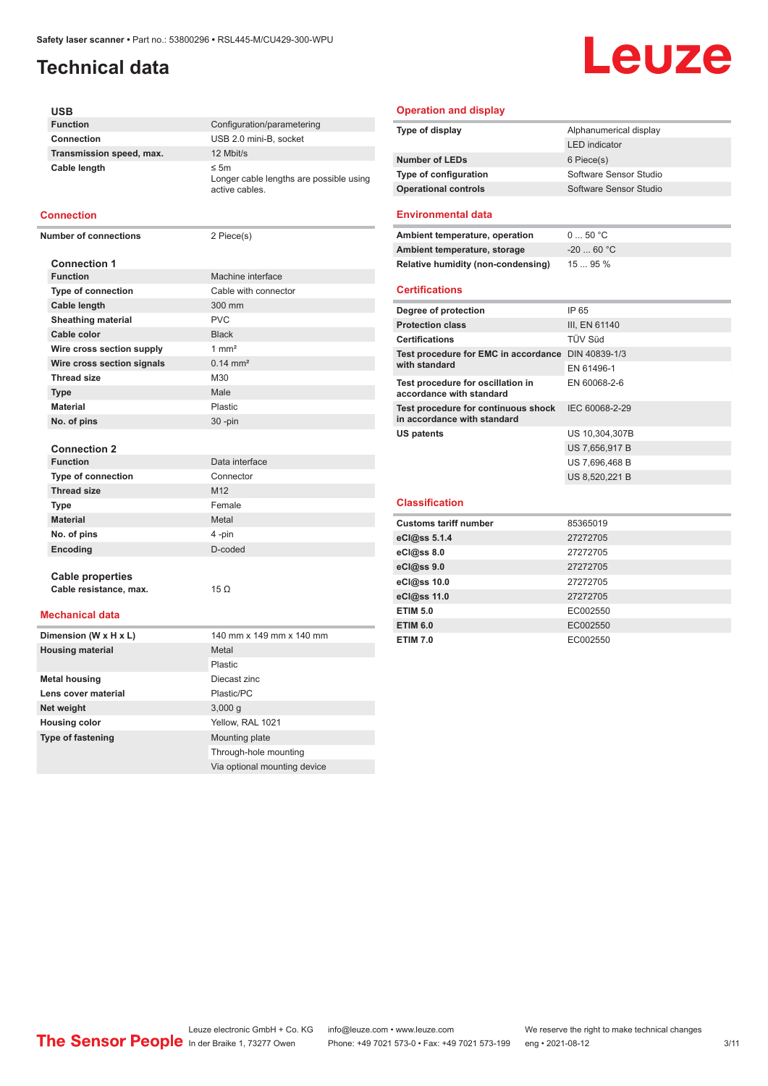## **Technical data**

# Leuze

| USB                          |                                                                        |
|------------------------------|------------------------------------------------------------------------|
| <b>Function</b>              | Configuration/parametering                                             |
| Connection                   | USB 2.0 mini-B, socket                                                 |
| Transmission speed, max.     | 12 Mbit/s                                                              |
| Cable length                 | $\leq$ 5m<br>Longer cable lengths are possible using<br>active cables. |
| <b>Connection</b>            |                                                                        |
| <b>Number of connections</b> | 2 Piece(s)                                                             |
|                              |                                                                        |
| <b>Connection 1</b>          |                                                                        |
| <b>Function</b>              | Machine interface                                                      |
| <b>Type of connection</b>    | Cable with connector                                                   |
| Cable length                 | 300 mm                                                                 |
| <b>Sheathing material</b>    | <b>PVC</b>                                                             |
| Cable color                  | <b>Black</b>                                                           |
| Wire cross section supply    | $1 \text{ mm}^2$                                                       |
| Wire cross section signals   | $0.14 \, \text{mm}^2$                                                  |
| <b>Thread size</b>           | M30                                                                    |
| <b>Type</b>                  | Male                                                                   |
| <b>Material</b>              | Plastic                                                                |
| No. of pins                  | 30 -pin                                                                |
|                              |                                                                        |
| <b>Connection 2</b>          |                                                                        |
| <b>Function</b>              | Data interface                                                         |
| Type of connection           | Connector                                                              |
| <b>Thread size</b>           | M12                                                                    |
| Type                         | Female                                                                 |
| <b>Material</b>              | Metal                                                                  |
| No. of pins                  | 4-pin                                                                  |
| Encoding                     | D-coded                                                                |
|                              |                                                                        |
| <b>Cable properties</b>      |                                                                        |
| Cable resistance, max.       | 15 $\Omega$                                                            |
|                              |                                                                        |
| <b>Mechanical data</b>       |                                                                        |
| Dimension (W x H x L)        | 140 mm x 149 mm x 140 mm                                               |
| <b>Housing material</b>      | Metal                                                                  |
|                              | Plastic                                                                |
| <b>Metal housing</b>         | Diecast zinc                                                           |
| Lens cover material          | Plastic/PC                                                             |
| Net weight                   | 3,000 g                                                                |
| <b>Housing color</b>         | Yellow, RAL 1021                                                       |
| <b>Type of fastening</b>     | Mounting plate                                                         |

#### **Operation and display**

| Type of display              | Alphanumerical display |  |
|------------------------------|------------------------|--|
|                              | <b>LED</b> indicator   |  |
| <b>Number of LEDs</b>        | 6 Piece(s)             |  |
| <b>Type of configuration</b> | Software Sensor Studio |  |
| <b>Operational controls</b>  | Software Sensor Studio |  |
|                              |                        |  |

#### **Environmental data**

| Ambient temperature, operation                                     | 050 °C         |
|--------------------------------------------------------------------|----------------|
| Ambient temperature, storage                                       | $-20$ 60 °C    |
| Relative humidity (non-condensing)                                 | 1595%          |
| <b>Certifications</b>                                              |                |
| Degree of protection                                               | IP 65          |
| <b>Protection class</b>                                            | III, EN 61140  |
| <b>Certifications</b>                                              | TÜV Süd        |
| Test procedure for EMC in accordance DIN 40839-1/3                 |                |
| with standard                                                      | EN 61496-1     |
| Test procedure for oscillation in<br>accordance with standard      | EN 60068-2-6   |
| Test procedure for continuous shock<br>in accordance with standard | IEC 60068-2-29 |

US 7,656,917 B US 7,696,468 B US 8,520,221 B

**US patents** US 10,304,307B

## **Classification**

| <b>Customs tariff number</b> | 85365019 |
|------------------------------|----------|
| eCl@ss 5.1.4                 | 27272705 |
| $eC/\omega$ ss 8.0           | 27272705 |
| eCl@ss 9.0                   | 27272705 |
| eCl@ss 10.0                  | 27272705 |
| eCl@ss 11.0                  | 27272705 |
| <b>ETIM 5.0</b>              | EC002550 |
| <b>ETIM 6.0</b>              | EC002550 |
| <b>ETIM 7.0</b>              | EC002550 |

Through-hole mounting Via optional mounting device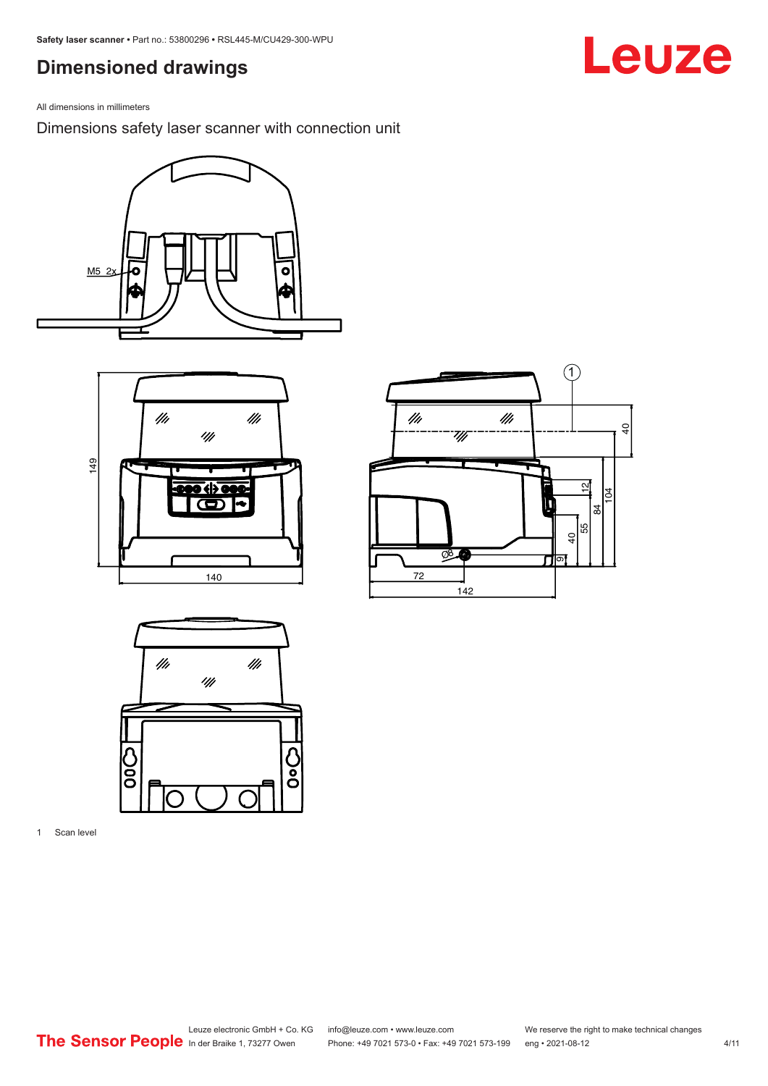### <span id="page-3-0"></span>**Dimensioned drawings**

All dimensions in millimeters

Dimensions safety laser scanner with connection unit









1 Scan level

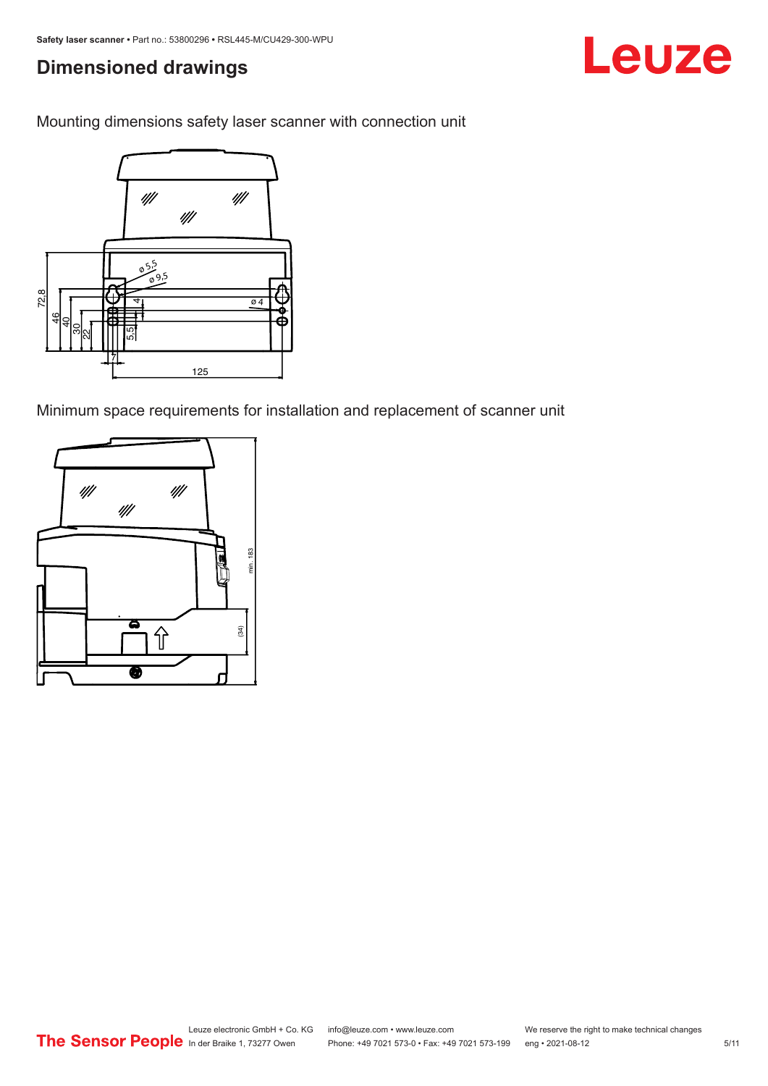### **Dimensioned drawings**

Mounting dimensions safety laser scanner with connection unit



Minimum space requirements for installation and replacement of scanner unit

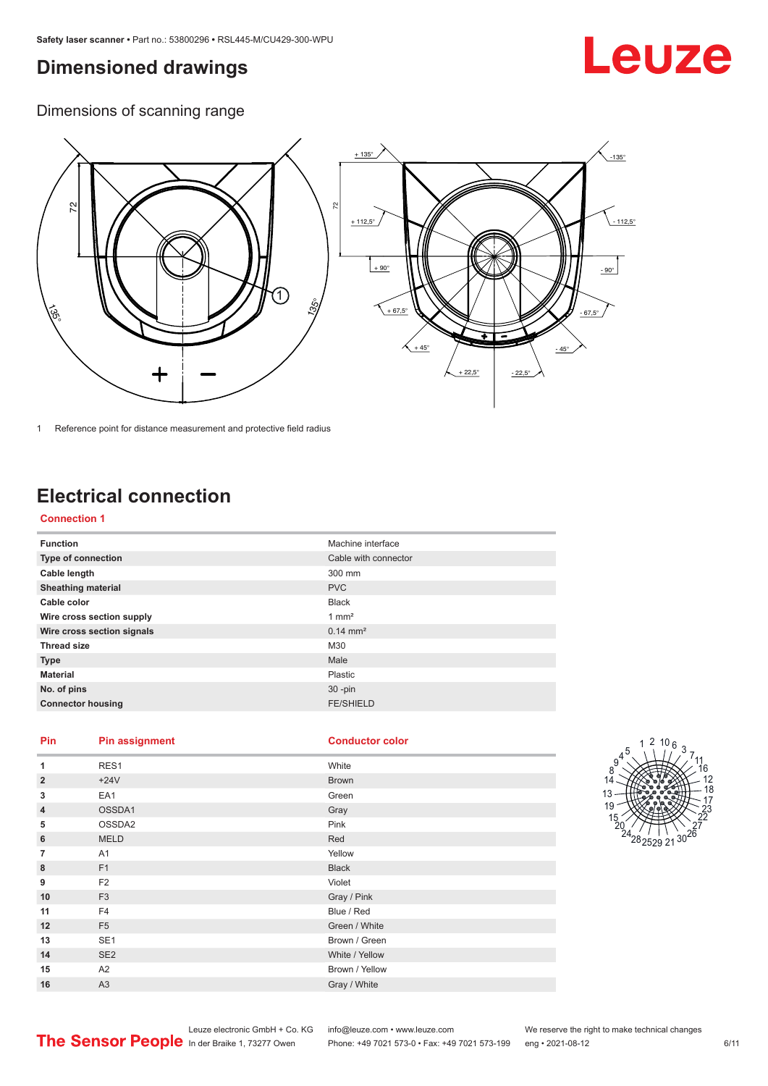### <span id="page-5-0"></span>**Dimensioned drawings**

# Leuze

Dimensions of scanning range



1 Reference point for distance measurement and protective field radius

## **Electrical connection**

#### **Connection 1**

| <b>Function</b>            | Machine interface    |
|----------------------------|----------------------|
| Type of connection         | Cable with connector |
| Cable length               | 300 mm               |
| <b>Sheathing material</b>  | <b>PVC</b>           |
| Cable color                | <b>Black</b>         |
| Wire cross section supply  | $1 \text{ mm}^2$     |
| Wire cross section signals | $0.14 \text{ mm}^2$  |
| <b>Thread size</b>         | M30                  |
| <b>Type</b>                | Male                 |
| <b>Material</b>            | Plastic              |
| No. of pins                | $30 - pin$           |
| <b>Connector housing</b>   | <b>FE/SHIELD</b>     |

#### **Pin Pin assignment Conductor Conductor Color**

| <b>Conductor cold</b> |  |  |
|-----------------------|--|--|
|                       |  |  |
|                       |  |  |

| 1              | RES1            | White          |
|----------------|-----------------|----------------|
| $\overline{2}$ | $+24V$          | <b>Brown</b>   |
| 3              | EA1             | Green          |
| $\overline{4}$ | OSSDA1          | Gray           |
| 5              | OSSDA2          | Pink           |
| 6              | <b>MELD</b>     | Red            |
| $\overline{7}$ | A1              | Yellow         |
| 8              | F1              | <b>Black</b>   |
| 9              | F <sub>2</sub>  | Violet         |
| 10             | F <sub>3</sub>  | Gray / Pink    |
| 11             | F <sub>4</sub>  | Blue / Red     |
| 12             | F <sub>5</sub>  | Green / White  |
| 13             | SE <sub>1</sub> | Brown / Green  |
| 14             | SE <sub>2</sub> | White / Yellow |
| 15             | A2              | Brown / Yellow |
| 16             | A3              | Gray / White   |

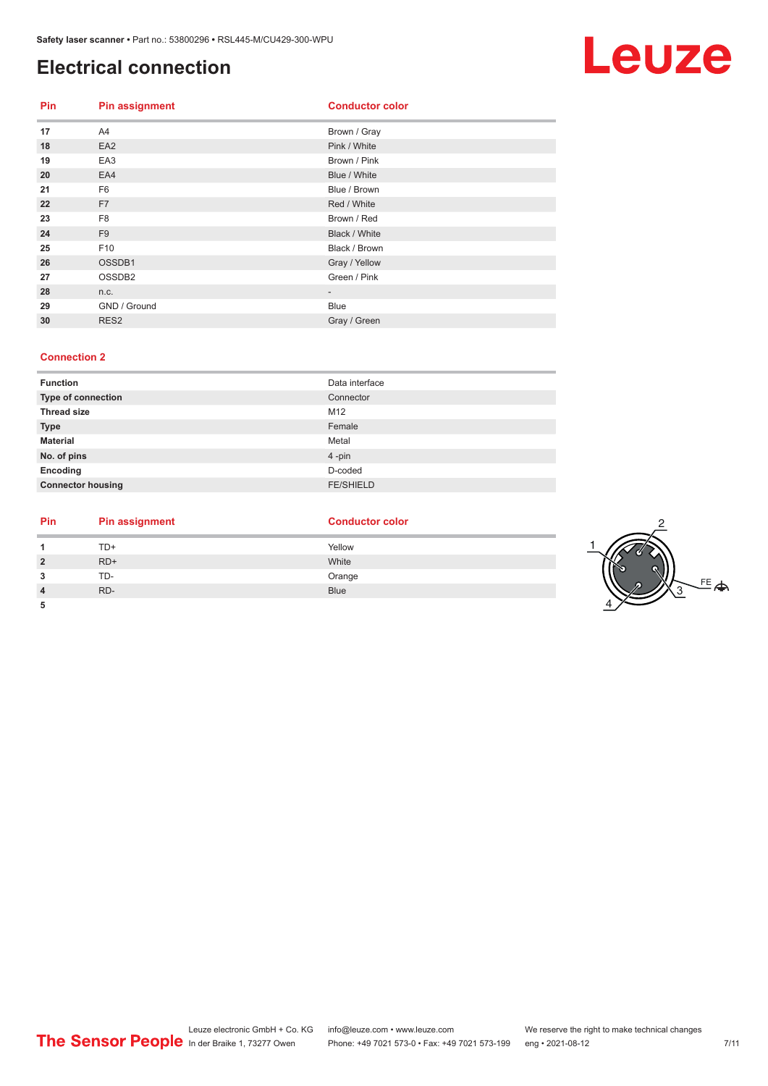#### **Electrical connection**

| <b>Pin</b> | <b>Pin assignment</b> | <b>Conductor color</b> |
|------------|-----------------------|------------------------|
| 17         | A4                    | Brown / Gray           |
| 18         | EA <sub>2</sub>       | Pink / White           |
| 19         | EA3                   | Brown / Pink           |
| 20         | EA4                   | Blue / White           |
| 21         | F <sub>6</sub>        | Blue / Brown           |
| 22         | F7                    | Red / White            |
| 23         | F <sub>8</sub>        | Brown / Red            |
| 24         | F <sub>9</sub>        | Black / White          |
| 25         | F <sub>10</sub>       | Black / Brown          |
| 26         | OSSDB1                | Gray / Yellow          |
| 27         | OSSDB <sub>2</sub>    | Green / Pink           |
| 28         | n.c.                  |                        |
| 29         | GND / Ground          | Blue                   |
| 30         | RES <sub>2</sub>      | Gray / Green           |

#### **Connection 2**

| <b>Function</b>          | Data interface   |
|--------------------------|------------------|
| Type of connection       | Connector        |
| <b>Thread size</b>       | M12              |
| <b>Type</b>              | Female           |
| <b>Material</b>          | Metal            |
| No. of pins              | 4-pin            |
| Encoding                 | D-coded          |
| <b>Connector housing</b> | <b>FE/SHIELD</b> |

| Pin     | <b>Pin assignment</b> | <b>Conductor color</b> |  |
|---------|-----------------------|------------------------|--|
|         | TD+                   | Yellow                 |  |
| ຳ       | $RD+$                 | White                  |  |
| ,<br>۰J | TD-                   | Orange                 |  |
|         | RD-                   | <b>Blue</b>            |  |
| 5       |                       |                        |  |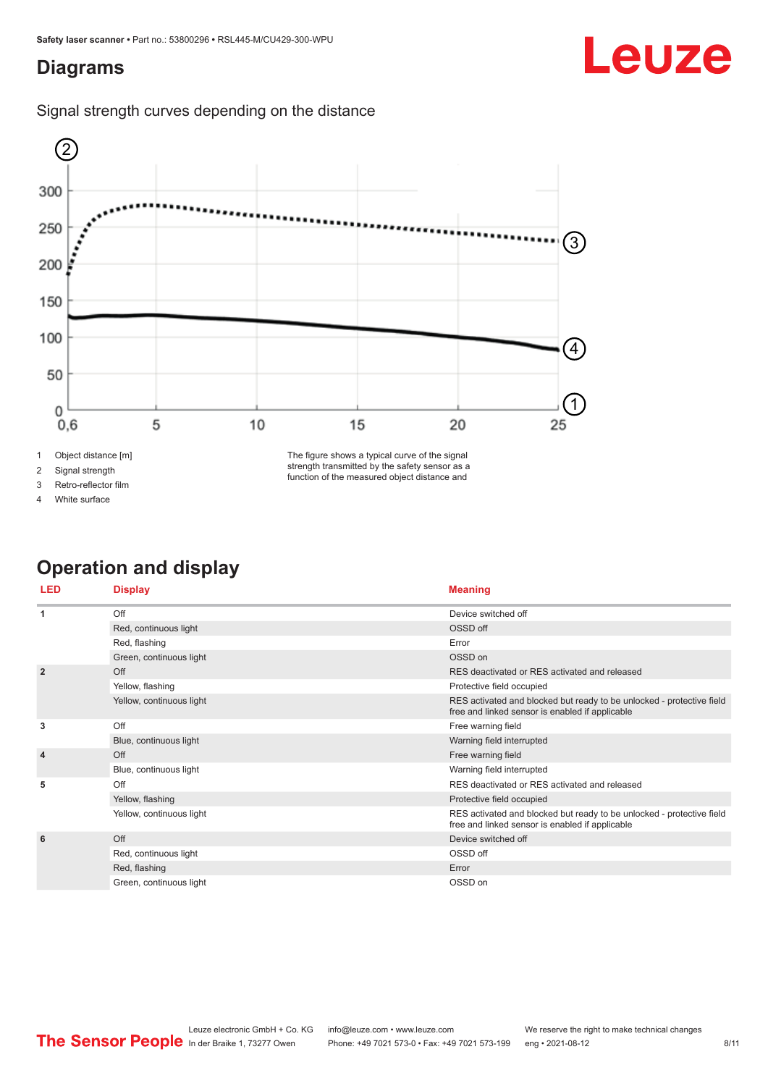### <span id="page-7-0"></span>**Diagrams**





2 Signal strength

3 Retro-reflector film

4 White surface

The figure shows a typical curve of the signal strength transmitted by the safety sensor as a function of the measured object distance and

## **Operation and display**

| <b>LED</b>     | <b>Display</b>           | <b>Meaning</b>                                                                                                           |
|----------------|--------------------------|--------------------------------------------------------------------------------------------------------------------------|
| -1             | Off                      | Device switched off                                                                                                      |
|                | Red, continuous light    | OSSD off                                                                                                                 |
|                | Red, flashing            | Error                                                                                                                    |
|                | Green, continuous light  | OSSD on                                                                                                                  |
| $\overline{2}$ | Off                      | RES deactivated or RES activated and released                                                                            |
|                | Yellow, flashing         | Protective field occupied                                                                                                |
|                | Yellow, continuous light | RES activated and blocked but ready to be unlocked - protective field<br>free and linked sensor is enabled if applicable |
| 3              | Off                      | Free warning field                                                                                                       |
|                | Blue, continuous light   | Warning field interrupted                                                                                                |
| $\overline{4}$ | Off                      | Free warning field                                                                                                       |
|                | Blue, continuous light   | Warning field interrupted                                                                                                |
| 5              | Off                      | RES deactivated or RES activated and released                                                                            |
|                | Yellow, flashing         | Protective field occupied                                                                                                |
|                | Yellow, continuous light | RES activated and blocked but ready to be unlocked - protective field<br>free and linked sensor is enabled if applicable |
| 6              | Off                      | Device switched off                                                                                                      |
|                | Red, continuous light    | OSSD off                                                                                                                 |
|                | Red, flashing            | Error                                                                                                                    |
|                | Green, continuous light  | OSSD on                                                                                                                  |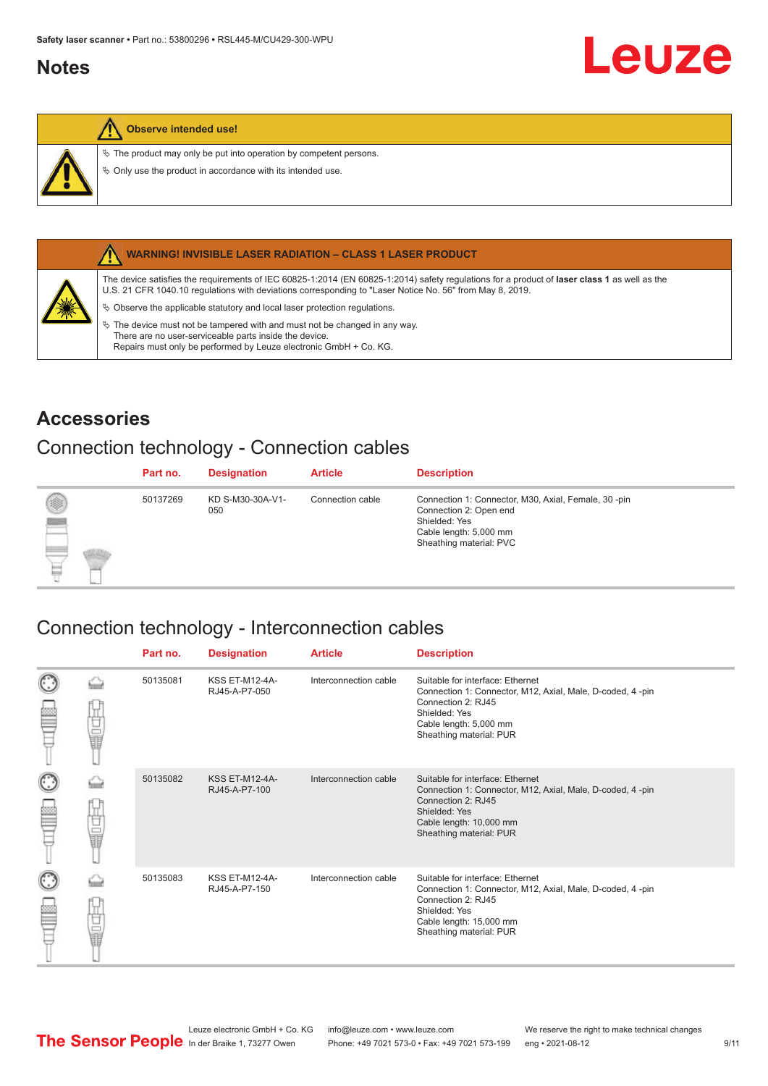#### <span id="page-8-0"></span>**Notes**



#### **Observe intended use!**

 $\&$  The product may only be put into operation by competent persons.

 $\%$  Only use the product in accordance with its intended use.



#### **WARNING! INVISIBLE LASER RADIATION – CLASS 1 LASER PRODUCT**

The device satisfies the requirements of IEC 60825-1:2014 (EN 60825-1:2014) safety regulations for a product of **laser class 1** as well as the U.S. 21 CFR 1040.10 regulations with deviations corresponding to "Laser Notice No. 56" from May 8, 2019.

 $\&$  Observe the applicable statutory and local laser protection regulations.

 $\%$  The device must not be tampered with and must not be changed in any way. There are no user-serviceable parts inside the device. Repairs must only be performed by Leuze electronic GmbH + Co. KG.

#### **Accessories**

#### Connection technology - Connection cables

|                    | Part no. | <b>Designation</b>      | <b>Article</b>   | <b>Description</b>                                                                                                                                   |
|--------------------|----------|-------------------------|------------------|------------------------------------------------------------------------------------------------------------------------------------------------------|
| ◉<br><b>Report</b> | 50137269 | KD S-M30-30A-V1-<br>050 | Connection cable | Connection 1: Connector, M30, Axial, Female, 30 -pin<br>Connection 2: Open end<br>Shielded: Yes<br>Cable length: 5,000 mm<br>Sheathing material: PVC |

#### Connection technology - Interconnection cables

|   |              | Part no. | <b>Designation</b>                     | <b>Article</b>        | <b>Description</b>                                                                                                                                                                         |
|---|--------------|----------|----------------------------------------|-----------------------|--------------------------------------------------------------------------------------------------------------------------------------------------------------------------------------------|
|   | 世軍           | 50135081 | <b>KSS ET-M12-4A-</b><br>RJ45-A-P7-050 | Interconnection cable | Suitable for interface: Ethernet<br>Connection 1: Connector, M12, Axial, Male, D-coded, 4-pin<br>Connection 2: RJ45<br>Shielded: Yes<br>Cable length: 5,000 mm<br>Sheathing material: PUR  |
| C | the discrep- | 50135082 | <b>KSS ET-M12-4A-</b><br>RJ45-A-P7-100 | Interconnection cable | Suitable for interface: Ethernet<br>Connection 1: Connector, M12, Axial, Male, D-coded, 4-pin<br>Connection 2: RJ45<br>Shielded: Yes<br>Cable length: 10,000 mm<br>Sheathing material: PUR |
|   | U<br>U<br>U  | 50135083 | <b>KSS ET-M12-4A-</b><br>RJ45-A-P7-150 | Interconnection cable | Suitable for interface: Ethernet<br>Connection 1: Connector, M12, Axial, Male, D-coded, 4-pin<br>Connection 2: RJ45<br>Shielded: Yes<br>Cable length: 15,000 mm<br>Sheathing material: PUR |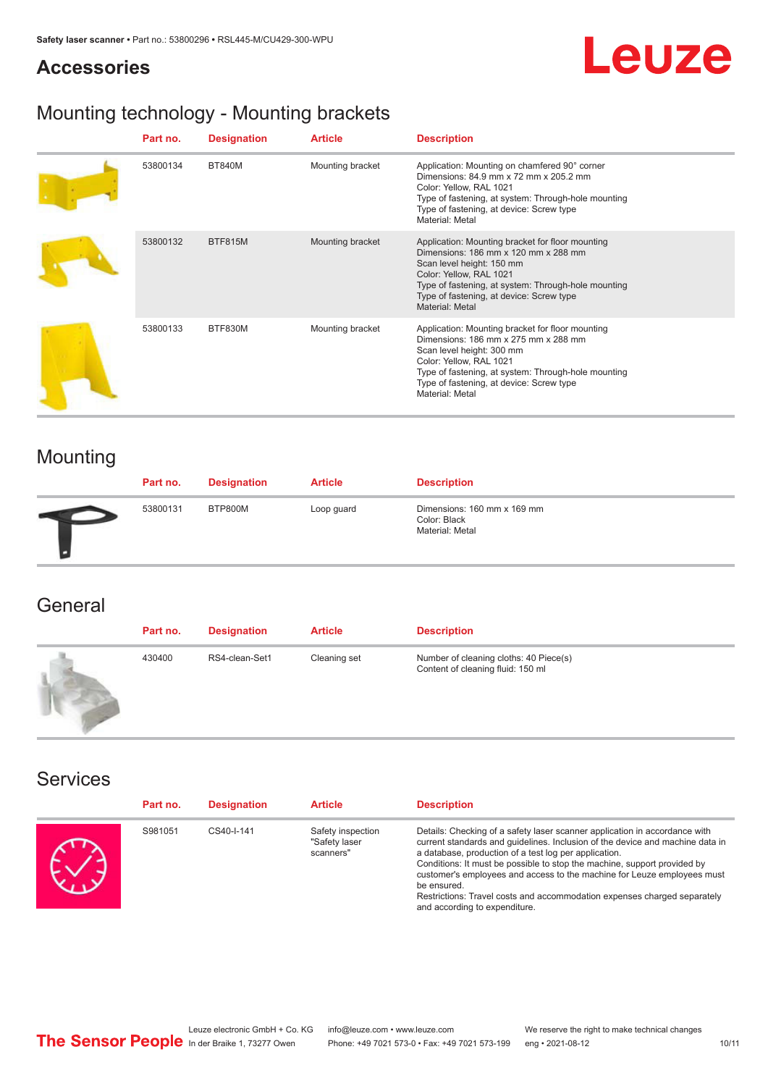## **Leuze**

## Mounting technology - Mounting brackets

| Part no. | <b>Designation</b> | <b>Article</b>   | <b>Description</b>                                                                                                                                                                                                                                                     |
|----------|--------------------|------------------|------------------------------------------------------------------------------------------------------------------------------------------------------------------------------------------------------------------------------------------------------------------------|
| 53800134 | <b>BT840M</b>      | Mounting bracket | Application: Mounting on chamfered 90° corner<br>Dimensions: 84.9 mm x 72 mm x 205.2 mm<br>Color: Yellow, RAL 1021<br>Type of fastening, at system: Through-hole mounting<br>Type of fastening, at device: Screw type<br>Material: Metal                               |
| 53800132 | <b>BTF815M</b>     | Mounting bracket | Application: Mounting bracket for floor mounting<br>Dimensions: 186 mm x 120 mm x 288 mm<br>Scan level height: 150 mm<br>Color: Yellow, RAL 1021<br>Type of fastening, at system: Through-hole mounting<br>Type of fastening, at device: Screw type<br>Material: Metal |
| 53800133 | BTF830M            | Mounting bracket | Application: Mounting bracket for floor mounting<br>Dimensions: 186 mm x 275 mm x 288 mm<br>Scan level height: 300 mm<br>Color: Yellow, RAL 1021<br>Type of fastening, at system: Through-hole mounting<br>Type of fastening, at device: Screw type<br>Material: Metal |

## Mounting

**Accessories**

| Part no. | <b>Designation</b> | <b>Article</b> | <b>Description</b>                                             |
|----------|--------------------|----------------|----------------------------------------------------------------|
| 53800131 | BTP800M            | Loop guard     | Dimensions: 160 mm x 169 mm<br>Color: Black<br>Material: Metal |

#### **General**

| Part no. | <b>Designation</b> | <b>Article</b> | <b>Description</b>                                                          |
|----------|--------------------|----------------|-----------------------------------------------------------------------------|
| 430400   | RS4-clean-Set1     | Cleaning set   | Number of cleaning cloths: 40 Piece(s)<br>Content of cleaning fluid: 150 ml |

#### Services

| Part no. | <b>Designation</b> | <b>Article</b>                                  | <b>Description</b>                                                                                                                                                                                                                                                                                                                                                                                                                                                                                      |
|----------|--------------------|-------------------------------------------------|---------------------------------------------------------------------------------------------------------------------------------------------------------------------------------------------------------------------------------------------------------------------------------------------------------------------------------------------------------------------------------------------------------------------------------------------------------------------------------------------------------|
| S981051  | CS40-I-141         | Safety inspection<br>"Safety laser<br>scanners" | Details: Checking of a safety laser scanner application in accordance with<br>current standards and guidelines. Inclusion of the device and machine data in<br>a database, production of a test log per application.<br>Conditions: It must be possible to stop the machine, support provided by<br>customer's employees and access to the machine for Leuze employees must<br>be ensured.<br>Restrictions: Travel costs and accommodation expenses charged separately<br>and according to expenditure. |